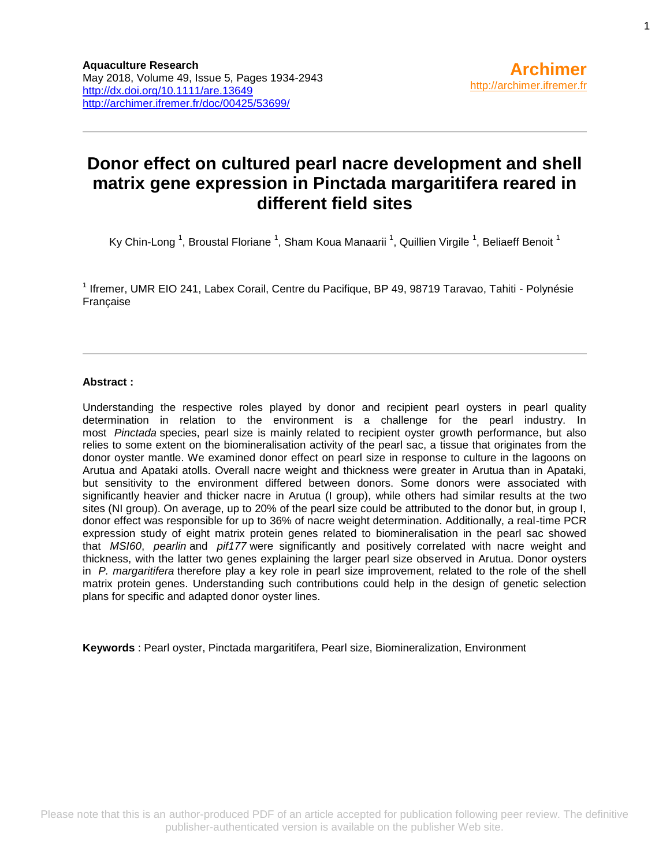# **Donor effect on cultured pearl nacre development and shell matrix gene expression in Pinctada margaritifera reared in different field sites**

Ky Chin-Long <sup>1</sup>, Broustal Floriane <sup>1</sup>, Sham Koua Manaarii <sup>1</sup>, Quillien Virgile <sup>1</sup>, Beliaeff Benoit <sup>1</sup>

<sup>1</sup> Ifremer, UMR EIO 241, Labex Corail, Centre du Pacifique, BP 49, 98719 Taravao, Tahiti - Polynésie Française

#### **Abstract :**

Understanding the respective roles played by donor and recipient pearl oysters in pearl quality determination in relation to the environment is a challenge for the pearl industry. In most *Pinctada* species, pearl size is mainly related to recipient oyster growth performance, but also relies to some extent on the biomineralisation activity of the pearl sac, a tissue that originates from the donor oyster mantle. We examined donor effect on pearl size in response to culture in the lagoons on Arutua and Apataki atolls. Overall nacre weight and thickness were greater in Arutua than in Apataki, but sensitivity to the environment differed between donors. Some donors were associated with significantly heavier and thicker nacre in Arutua (I group), while others had similar results at the two sites (NI group). On average, up to 20% of the pearl size could be attributed to the donor but, in group I, donor effect was responsible for up to 36% of nacre weight determination. Additionally, a real-time PCR expression study of eight matrix protein genes related to biomineralisation in the pearl sac showed that *MSI60*, *pearlin* and *pif177* were significantly and positively correlated with nacre weight and thickness, with the latter two genes explaining the larger pearl size observed in Arutua. Donor oysters in *P. margaritifera* therefore play a key role in pearl size improvement, related to the role of the shell matrix protein genes. Understanding such contributions could help in the design of genetic selection plans for specific and adapted donor oyster lines.

**Keywords** : Pearl oyster, Pinctada margaritifera, Pearl size, Biomineralization, Environment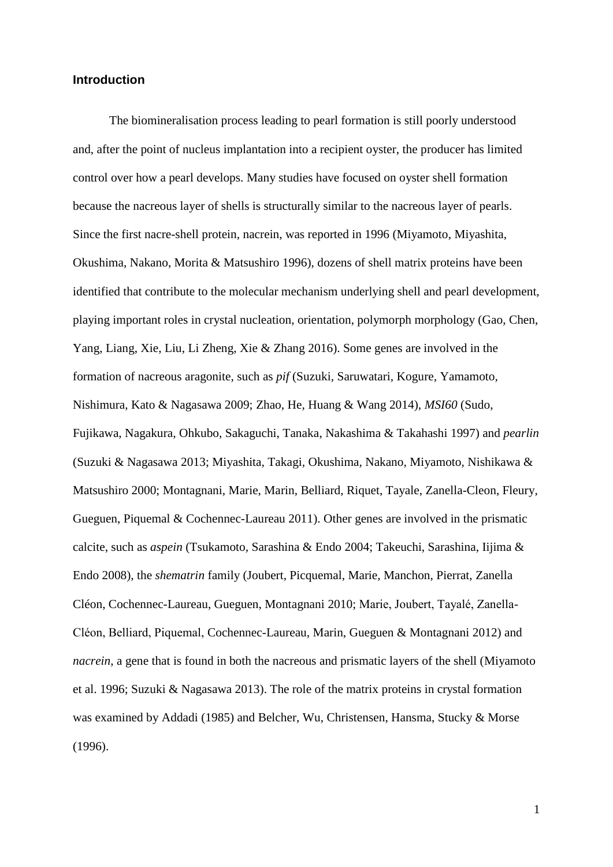## **Introduction**

The biomineralisation process leading to pearl formation is still poorly understood and, after the point of nucleus implantation into a recipient oyster, the producer has limited control over how a pearl develops. Many studies have focused on oyster shell formation because the nacreous layer of shells is structurally similar to the nacreous layer of pearls. Since the first nacre-shell protein, nacrein, was reported in 1996 (Miyamoto, Miyashita, Okushima, Nakano, Morita & Matsushiro 1996), dozens of shell matrix proteins have been identified that contribute to the molecular mechanism underlying shell and pearl development, playing important roles in crystal nucleation, orientation, polymorph morphology (Gao, Chen, Yang, Liang, Xie, Liu, Li Zheng, Xie & Zhang 2016). Some genes are involved in the formation of nacreous aragonite, such as *pif* (Suzuki*,* Saruwatari*,* Kogure*,* Yamamoto*,*  Nishimura*,* Kato & Nagasawa 2009; Zhao, He, Huang & Wang 2014), *MSI60* (Sudo, Fujikawa, Nagakura, Ohkubo, Sakaguchi, Tanaka, Nakashima & Takahashi 1997) and *pearlin* (Suzuki & Nagasawa 2013; Miyashita*,* Takagi*,* Okushima*,* Nakano*,* Miyamoto*,* Nishikawa & Matsushiro 2000; Montagnani, Marie, Marin, [Belliard,](http://annuaire.ifremer.fr/cv/16850/) Riquet, Tayale, Zanella-Cleon, [Fleury,](http://annuaire.ifremer.fr/cv/17539/) [Gueguen,](http://annuaire.ifremer.fr/cv/16833/) Piquemal & [Cochennec-Laureau](http://annuaire.ifremer.fr/cv/15904/) 2011). Other genes are involved in the prismatic calcite, such as *aspein* (Tsukamoto, Sarashina & Endo 2004; Takeuchi, Sarashina, Iijima & Endo 2008), the *shematrin* family (Joubert, Picquemal, Marie, Manchon, Pierrat, Zanella Cléon, Cochennec-Laureau, Gueguen, Montagnani 2010; Marie, Joubert, Tayalé, Zanella-Cléon, Belliard, Piquemal, Cochennec-Laureau, Marin, Gueguen & Montagnani 2012) and *nacrein*, a gene that is found in both the nacreous and prismatic layers of the shell (Miyamoto et al. 1996; Suzuki & Nagasawa 2013). The role of the matrix proteins in crystal formation was examined by Addadi (1985) and Belcher, Wu, Christensen, Hansma, Stucky & Morse (1996).

1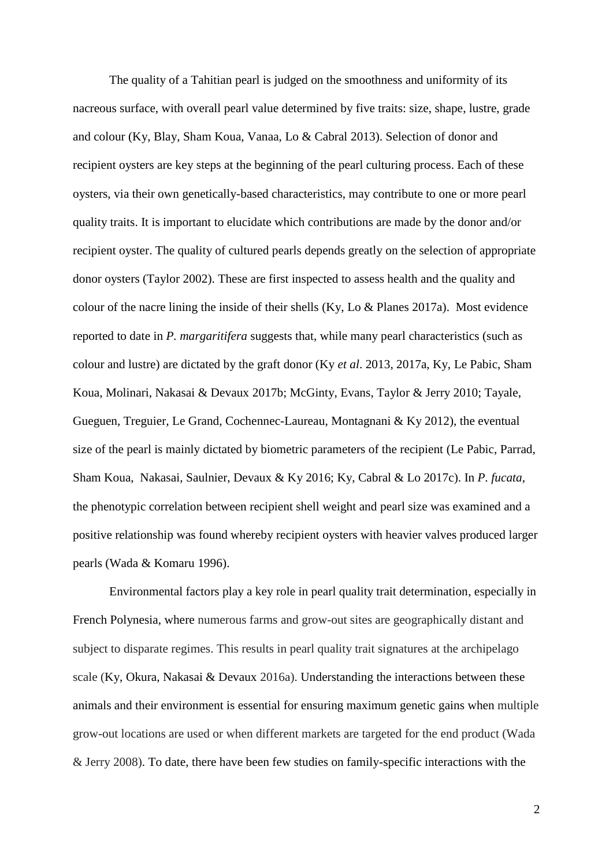The quality of a Tahitian pearl is judged on the smoothness and uniformity of its nacreous surface, with overall pearl value determined by five traits: size, shape, lustre, grade and colour (Ky, Blay, Sham Koua, Vanaa, Lo & Cabral 2013). Selection of donor and recipient oysters are key steps at the beginning of the pearl culturing process. Each of these oysters, via their own genetically-based characteristics, may contribute to one or more pearl quality traits. It is important to elucidate which contributions are made by the donor and/or recipient oyster. The quality of cultured pearls depends greatly on the selection of appropriate donor oysters (Taylor 2002). These are first inspected to assess health and the quality and colour of the nacre lining the inside of their shells (Ky, Lo & Planes 2017a). Most evidence reported to date in *P. margaritifera* suggests that, while many pearl characteristics (such as colour and lustre) are dictated by the graft donor (Ky *et al*. 2013, 2017a, Ky, Le Pabic, Sham Koua, Molinari, Nakasai & Devaux 2017b; McGinty, Evans, Taylor & Jerry 2010; Tayale, Gueguen, Treguier, Le Grand, Cochennec-Laureau, Montagnani & Ky 2012), the eventual size of the pearl is mainly dictated by biometric parameters of the recipient (Le Pabic, Parrad, Sham Koua, Nakasai, Saulnier, Devaux & Ky 2016; Ky, Cabral & Lo 2017c). In *P. fucata*, the phenotypic correlation between recipient shell weight and pearl size was examined and a positive relationship was found whereby recipient oysters with heavier valves produced larger pearls (Wada & Komaru 1996).

Environmental factors play a key role in pearl quality trait determination, especially in French Polynesia, where numerous farms and grow-out sites are geographically distant and subject to disparate regimes. This results in pearl quality trait signatures at the archipelago scale (Ky, Okura, Nakasai & Devaux 2016a). Understanding the interactions between these animals and their environment is essential for ensuring maximum genetic gains when multiple grow-out locations are used or when different markets are targeted for the end product (Wada & Jerry 2008). To date, there have been few studies on family-specific interactions with the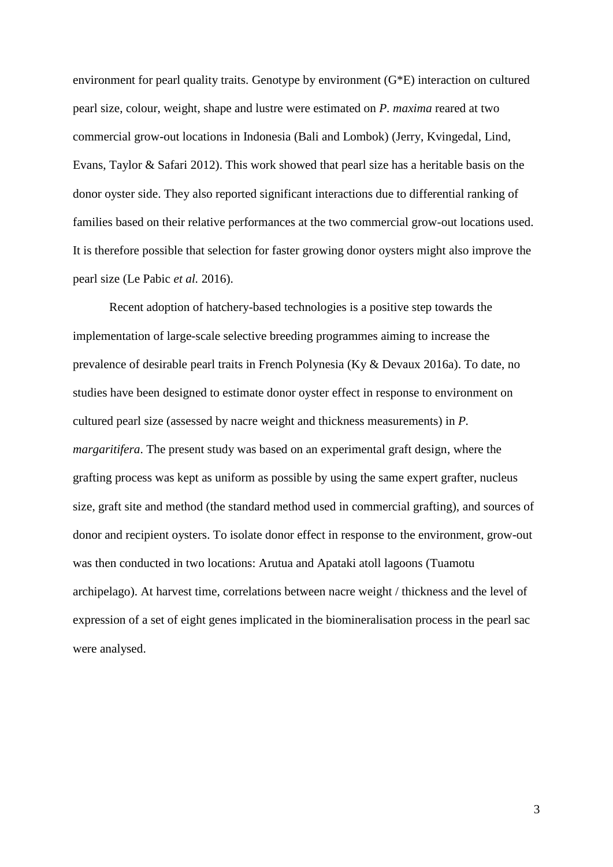environment for pearl quality traits. Genotype by environment (G\*E) interaction on cultured pearl size, colour, weight, shape and lustre were estimated on *P. maxima* reared at two commercial grow-out locations in Indonesia (Bali and Lombok) (Jerry, Kvingedal, Lind, Evans, Taylor & Safari 2012). This work showed that pearl size has a heritable basis on the donor oyster side. They also reported significant interactions due to differential ranking of families based on their relative performances at the two commercial grow-out locations used. It is therefore possible that selection for faster growing donor oysters might also improve the pearl size (Le Pabic *et al.* 2016).

Recent adoption of hatchery-based technologies is a positive step towards the implementation of large-scale selective breeding programmes aiming to increase the prevalence of desirable pearl traits in French Polynesia (Ky & Devaux 2016a). To date, no studies have been designed to estimate donor oyster effect in response to environment on cultured pearl size (assessed by nacre weight and thickness measurements) in *P. margaritifera*. The present study was based on an experimental graft design, where the grafting process was kept as uniform as possible by using the same expert grafter, nucleus size, graft site and method (the standard method used in commercial grafting), and sources of donor and recipient oysters. To isolate donor effect in response to the environment, grow-out was then conducted in two locations: Arutua and Apataki atoll lagoons (Tuamotu archipelago). At harvest time, correlations between nacre weight / thickness and the level of expression of a set of eight genes implicated in the biomineralisation process in the pearl sac were analysed.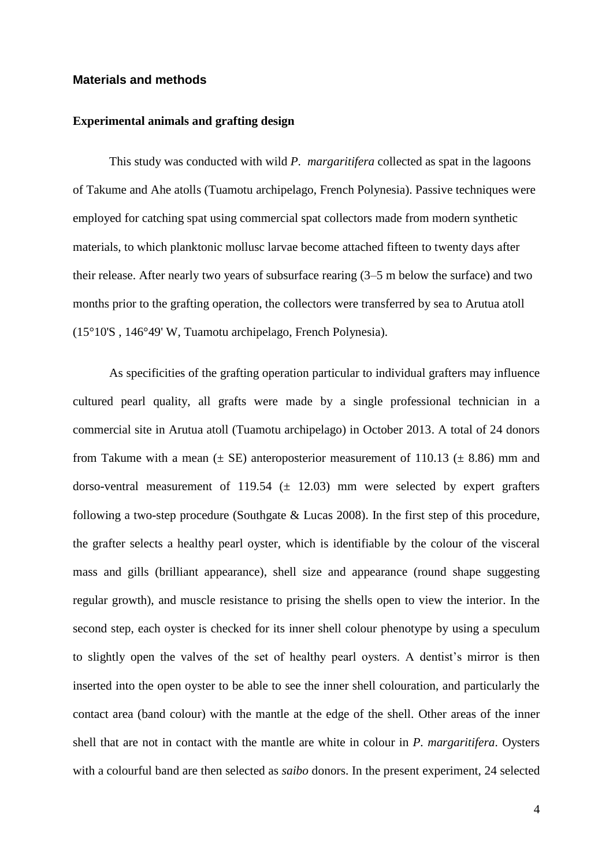## **Materials and methods**

#### **Experimental animals and grafting design**

This study was conducted with wild *P. margaritifera* collected as spat in the lagoons of Takume and Ahe atolls (Tuamotu archipelago, French Polynesia). Passive techniques were employed for catching spat using commercial spat collectors made from modern synthetic materials, to which planktonic mollusc larvae become attached fifteen to twenty days after their release. After nearly two years of subsurface rearing (3–5 m below the surface) and two months prior to the grafting operation, the collectors were transferred by sea to Arutua atoll (15°10'S , 146°49' W, Tuamotu archipelago, French Polynesia).

As specificities of the grafting operation particular to individual grafters may influence cultured pearl quality, all grafts were made by a single professional technician in a commercial site in Arutua atoll (Tuamotu archipelago) in October 2013. A total of 24 donors from Takume with a mean  $(\pm \text{ SE})$  anteroposterior measurement of 110.13  $(\pm 8.86)$  mm and dorso-ventral measurement of 119.54  $(\pm 12.03)$  mm were selected by expert grafters following a two-step procedure (Southgate & Lucas 2008). In the first step of this procedure, the grafter selects a healthy pearl oyster, which is identifiable by the colour of the visceral mass and gills (brilliant appearance), shell size and appearance (round shape suggesting regular growth), and muscle resistance to prising the shells open to view the interior. In the second step, each oyster is checked for its inner shell colour phenotype by using a speculum to slightly open the valves of the set of healthy pearl oysters. A dentist's mirror is then inserted into the open oyster to be able to see the inner shell colouration, and particularly the contact area (band colour) with the mantle at the edge of the shell. Other areas of the inner shell that are not in contact with the mantle are white in colour in *P. margaritifera*. Oysters with a colourful band are then selected as *saibo* donors. In the present experiment, 24 selected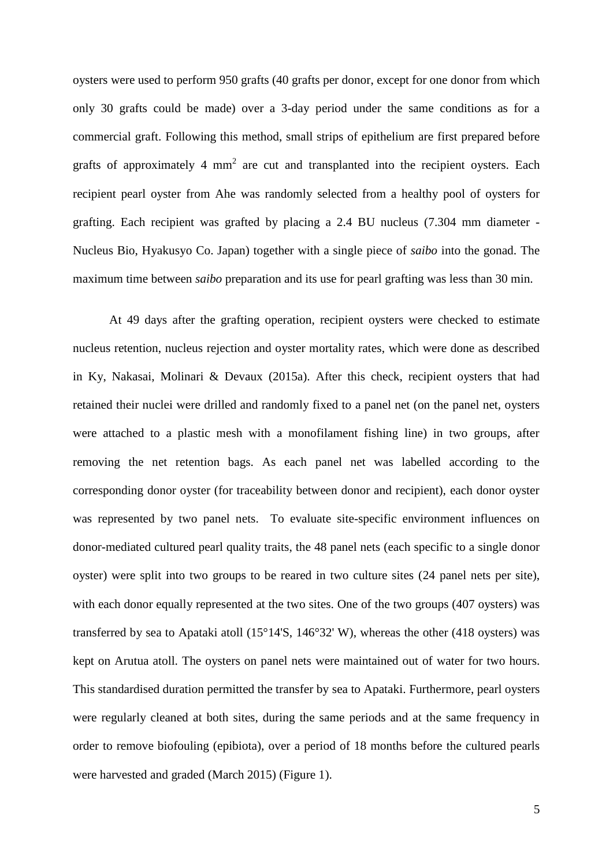oysters were used to perform 950 grafts (40 grafts per donor, except for one donor from which only 30 grafts could be made) over a 3-day period under the same conditions as for a commercial graft. Following this method, small strips of epithelium are first prepared before grafts of approximately 4  $mm<sup>2</sup>$  are cut and transplanted into the recipient oysters. Each recipient pearl oyster from Ahe was randomly selected from a healthy pool of oysters for grafting. Each recipient was grafted by placing a 2.4 BU nucleus (7.304 mm diameter - Nucleus Bio, Hyakusyo Co. Japan) together with a single piece of *saibo* into the gonad. The maximum time between *saibo* preparation and its use for pearl grafting was less than 30 min.

At 49 days after the grafting operation, recipient oysters were checked to estimate nucleus retention, nucleus rejection and oyster mortality rates, which were done as described in Ky, Nakasai, Molinari & Devaux (2015a). After this check, recipient oysters that had retained their nuclei were drilled and randomly fixed to a panel net (on the panel net, oysters were attached to a plastic mesh with a monofilament fishing line) in two groups, after removing the net retention bags. As each panel net was labelled according to the corresponding donor oyster (for traceability between donor and recipient), each donor oyster was represented by two panel nets. To evaluate site-specific environment influences on donor-mediated cultured pearl quality traits, the 48 panel nets (each specific to a single donor oyster) were split into two groups to be reared in two culture sites (24 panel nets per site), with each donor equally represented at the two sites. One of the two groups (407 oysters) was transferred by sea to Apataki atoll  $(15^{\circ}14^{\prime}S, 146^{\circ}32^{\prime}W)$ , whereas the other (418 oysters) was kept on Arutua atoll. The oysters on panel nets were maintained out of water for two hours. This standardised duration permitted the transfer by sea to Apataki. Furthermore, pearl oysters were regularly cleaned at both sites, during the same periods and at the same frequency in order to remove biofouling (epibiota), over a period of 18 months before the cultured pearls were harvested and graded (March 2015) (Figure 1).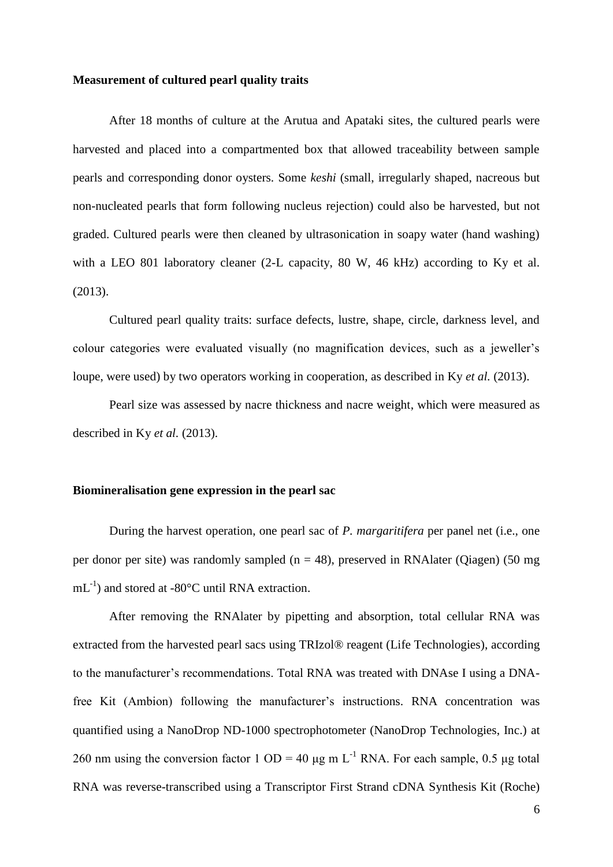#### **Measurement of cultured pearl quality traits**

After 18 months of culture at the Arutua and Apataki sites, the cultured pearls were harvested and placed into a compartmented box that allowed traceability between sample pearls and corresponding donor oysters. Some *keshi* (small, irregularly shaped, nacreous but non-nucleated pearls that form following nucleus rejection) could also be harvested, but not graded. Cultured pearls were then cleaned by ultrasonication in soapy water (hand washing) with a LEO 801 laboratory cleaner (2-L capacity, 80 W, 46 kHz) according to Ky et al. (2013).

Cultured pearl quality traits: surface defects, lustre, shape, circle, darkness level, and colour categories were evaluated visually (no magnification devices, such as a jeweller's loupe, were used) by two operators working in cooperation, as described in Ky *et al.* (2013).

Pearl size was assessed by nacre thickness and nacre weight, which were measured as described in Ky *et al.* (2013).

## **Biomineralisation gene expression in the pearl sac**

During the harvest operation, one pearl sac of *P. margaritifera* per panel net (i.e., one per donor per site) was randomly sampled ( $n = 48$ ), preserved in RNAlater (Oiagen) (50 mg  $mL^{-1}$ ) and stored at -80 $^{\circ}$ C until RNA extraction.

After removing the RNAlater by pipetting and absorption, total cellular RNA was extracted from the harvested pearl sacs using TRIzol® reagent (Life Technologies), according to the manufacturer's recommendations. Total RNA was treated with DNAse I using a DNAfree Kit (Ambion) following the manufacturer's instructions. RNA concentration was quantified using a NanoDrop ND-1000 spectrophotometer (NanoDrop Technologies, Inc.) at 260 nm using the conversion factor 1 OD = 40 μg m L<sup>-1</sup> RNA. For each sample, 0.5 μg total RNA was reverse-transcribed using a Transcriptor First Strand cDNA Synthesis Kit (Roche)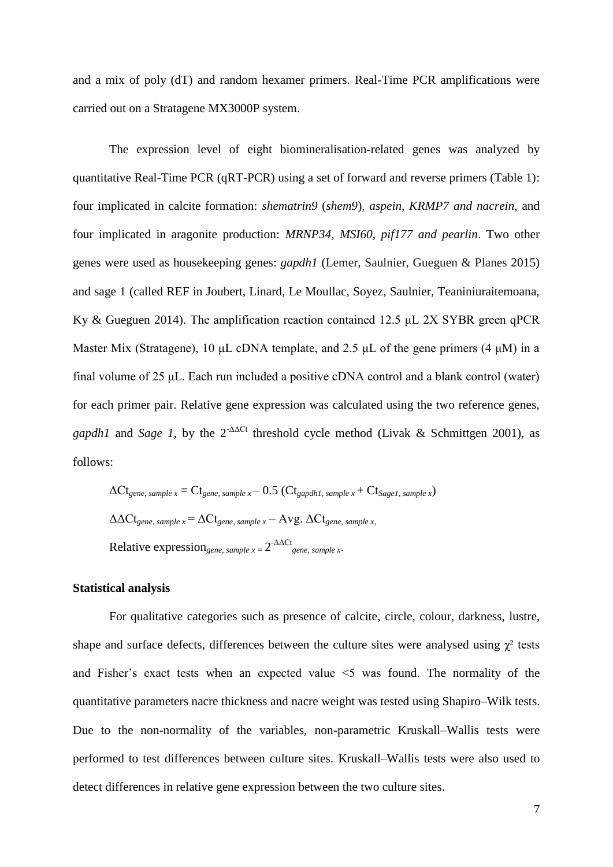and a mix of poly (dT) and random hexamer primers. Real-Time PCR amplifications were carried out on a Stratagene MX3000P system.

The expression level of eight biomineralisation-related genes was analyzed by quantitative Real-Time PCR (qRT-PCR) using a set of forward and reverse primers (Table 1): four implicated in calcite formation: *shematrin9* (*shem9*)*, aspein, KRMP7 and nacrein,* and four implicated in aragonite production: *MRNP34, MSI60, pif177 and pearlin*. Two other genes were used as housekeeping genes: *gapdh1* (Lemer, Saulnier, Gueguen & Planes 2015) and sage 1 (called REF in Joubert, Linard, Le Moullac, Soyez, Saulnier, Teaniniuraitemoana, Ky & Gueguen 2014). The amplification reaction contained 12.5 μL 2X SYBR green qPCR Master Mix (Stratagene), 10 μL cDNA template, and 2.5 μL of the gene primers (4 μM) in a final volume of 25 μL. Each run included a positive cDNA control and a blank control (water) for each primer pair. Relative gene expression was calculated using the two reference genes, *gapdh1* and *Sage 1*, by the  $2^{-\Delta\Delta Ct}$  threshold cycle method (Livak & Schmittgen 2001), as follows:

$$
\Delta Ct_{gene, sample x} = Ct_{gene, sample x} - 0.5 (Ct_{gapdh1, sample x} + Ct_{Sage1, sample x})
$$

$$
\Delta \Delta Ct_{gene, sample x} = \Delta Ct_{gene, sample x} - Avg. \Delta Ct_{gene, sample x}
$$

$$
Relative expression_{gene, sample x} = 2^{-\Delta \Delta Ct}
$$

### **Statistical analysis**

For qualitative categories such as presence of calcite, circle, colour, darkness, lustre, shape and surface defects, differences between the culture sites were analysed using  $\chi^2$  tests and Fisher's exact tests when an expected value ˂5 was found. The normality of the quantitative parameters nacre thickness and nacre weight was tested using Shapiro–Wilk tests. Due to the non-normality of the variables, non-parametric Kruskall–Wallis tests were performed to test differences between culture sites. Kruskall–Wallis tests were also used to detect differences in relative gene expression between the two culture sites.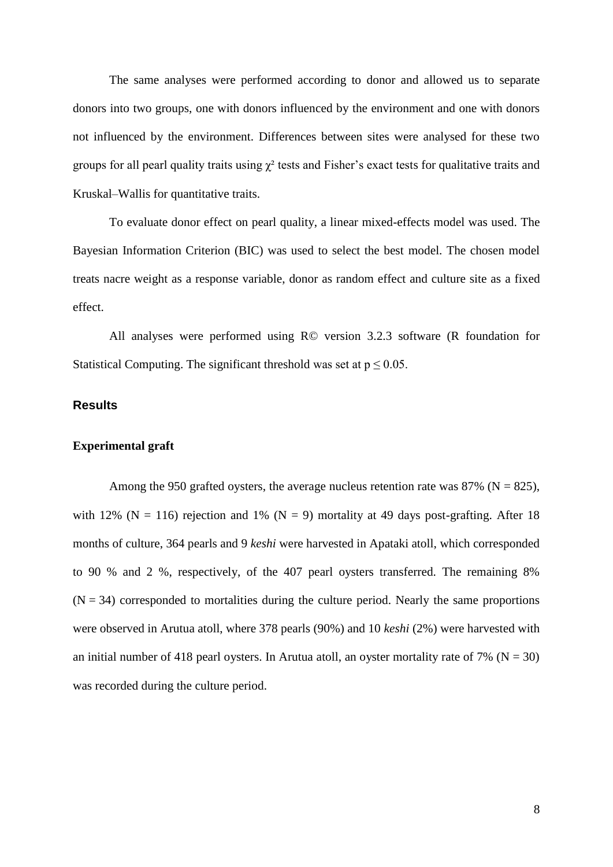The same analyses were performed according to donor and allowed us to separate donors into two groups, one with donors influenced by the environment and one with donors not influenced by the environment. Differences between sites were analysed for these two groups for all pearl quality traits using  $\chi^2$  tests and Fisher's exact tests for qualitative traits and Kruskal–Wallis for quantitative traits.

To evaluate donor effect on pearl quality, a linear mixed-effects model was used. The Bayesian Information Criterion (BIC) was used to select the best model. The chosen model treats nacre weight as a response variable, donor as random effect and culture site as a fixed effect.

All analyses were performed using R© version 3.2.3 software (R foundation for Statistical Computing. The significant threshold was set at  $p \le 0.05$ .

## **Results**

## **Experimental graft**

Among the 950 grafted oysters, the average nucleus retention rate was 87% ( $N = 825$ ), with 12% (N = 116) rejection and 1% (N = 9) mortality at 49 days post-grafting. After 18 months of culture, 364 pearls and 9 *keshi* were harvested in Apataki atoll, which corresponded to 90 % and 2 %, respectively, of the 407 pearl oysters transferred. The remaining 8%  $(N = 34)$  corresponded to mortalities during the culture period. Nearly the same proportions were observed in Arutua atoll, where 378 pearls (90%) and 10 *keshi* (2%) were harvested with an initial number of 418 pearl oysters. In Arutua atoll, an oyster mortality rate of 7% ( $N = 30$ ) was recorded during the culture period.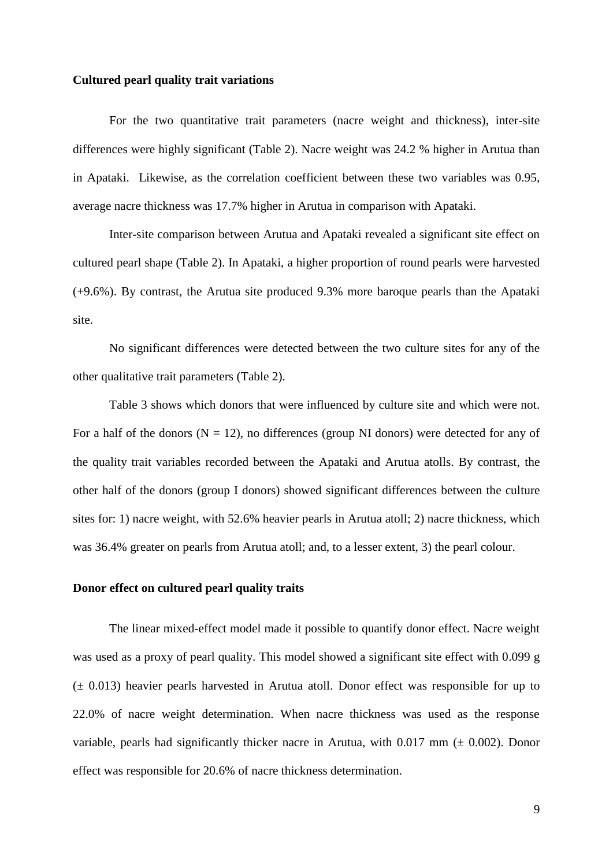#### **Cultured pearl quality trait variations**

For the two quantitative trait parameters (nacre weight and thickness), inter-site differences were highly significant (Table 2). Nacre weight was 24.2 % higher in Arutua than in Apataki. Likewise, as the correlation coefficient between these two variables was 0.95, average nacre thickness was 17.7% higher in Arutua in comparison with Apataki.

Inter-site comparison between Arutua and Apataki revealed a significant site effect on cultured pearl shape (Table 2). In Apataki, a higher proportion of round pearls were harvested (+9.6%). By contrast, the Arutua site produced 9.3% more baroque pearls than the Apataki site.

No significant differences were detected between the two culture sites for any of the other qualitative trait parameters (Table 2).

Table 3 shows which donors that were influenced by culture site and which were not. For a half of the donors ( $N = 12$ ), no differences (group NI donors) were detected for any of the quality trait variables recorded between the Apataki and Arutua atolls. By contrast, the other half of the donors (group I donors) showed significant differences between the culture sites for: 1) nacre weight, with 52.6% heavier pearls in Arutua atoll; 2) nacre thickness, which was 36.4% greater on pearls from Arutua atoll; and, to a lesser extent, 3) the pearl colour.

#### **Donor effect on cultured pearl quality traits**

The linear mixed-effect model made it possible to quantify donor effect. Nacre weight was used as a proxy of pearl quality. This model showed a significant site effect with 0.099 g (± 0.013) heavier pearls harvested in Arutua atoll. Donor effect was responsible for up to 22.0% of nacre weight determination. When nacre thickness was used as the response variable, pearls had significantly thicker nacre in Arutua, with  $0.017$  mm ( $\pm$  0.002). Donor effect was responsible for 20.6% of nacre thickness determination.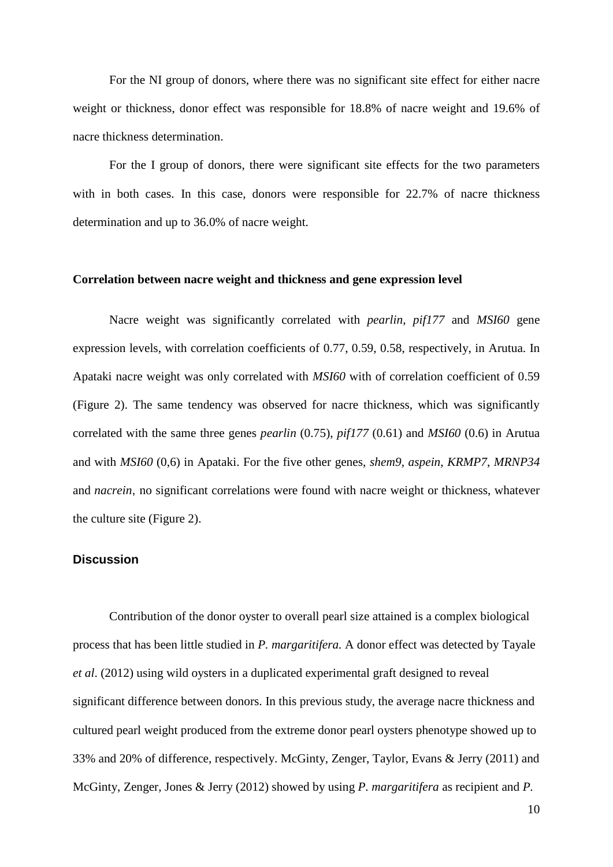For the NI group of donors, where there was no significant site effect for either nacre weight or thickness, donor effect was responsible for 18.8% of nacre weight and 19.6% of nacre thickness determination.

For the I group of donors, there were significant site effects for the two parameters with in both cases. In this case, donors were responsible for 22.7% of nacre thickness determination and up to 36.0% of nacre weight.

### **Correlation between nacre weight and thickness and gene expression level**

Nacre weight was significantly correlated with *pearlin*, *pif177* and *MSI60* gene expression levels, with correlation coefficients of 0.77, 0.59, 0.58, respectively, in Arutua. In Apataki nacre weight was only correlated with *MSI60* with of correlation coefficient of 0.59 (Figure 2). The same tendency was observed for nacre thickness, which was significantly correlated with the same three genes *pearlin* (0.75), *pif177* (0.61) and *MSI60* (0.6) in Arutua and with *MSI60* (0,6) in Apataki. For the five other genes, *shem9*, *aspein*, *KRMP7*, *MRNP34* and *nacrein*, no significant correlations were found with nacre weight or thickness, whatever the culture site (Figure 2).

## **Discussion**

Contribution of the donor oyster to overall pearl size attained is a complex biological process that has been little studied in *P. margaritifera.* A donor effect was detected by Tayale *et al*. (2012) using wild oysters in a duplicated experimental graft designed to reveal significant difference between donors. In this previous study, the average nacre thickness and cultured pearl weight produced from the extreme donor pearl oysters phenotype showed up to 33% and 20% of difference, respectively. McGinty, Zenger, Taylor, Evans & Jerry (2011) and McGinty, Zenger, Jones & Jerry (2012) showed by using *P. margaritifera* as recipient and *P.*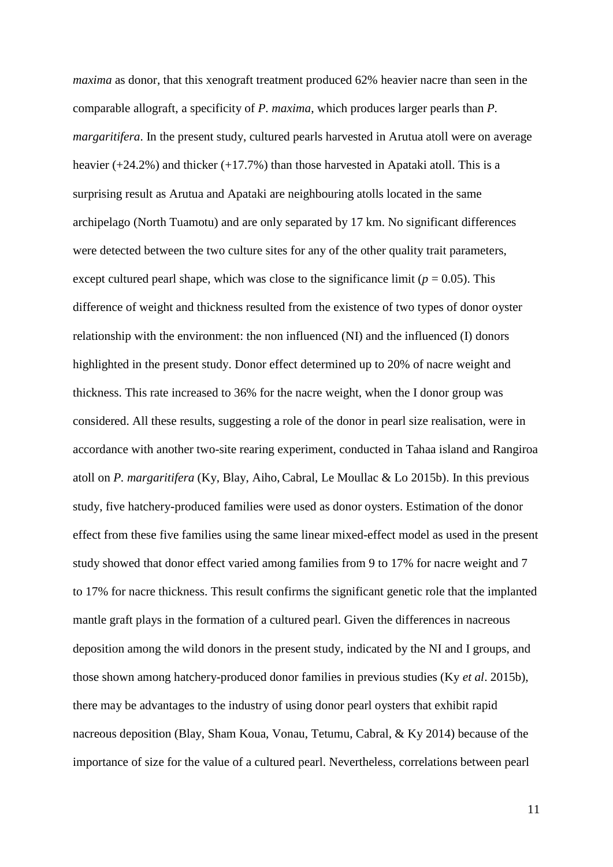*maxima* as donor, that this xenograft treatment produced 62% heavier nacre than seen in the comparable allograft, a specificity of *P. maxima*, which produces larger pearls than *P. margaritifera*. In the present study, cultured pearls harvested in Arutua atoll were on average heavier (+24.2%) and thicker (+17.7%) than those harvested in Apataki atoll. This is a surprising result as Arutua and Apataki are neighbouring atolls located in the same archipelago (North Tuamotu) and are only separated by 17 km. No significant differences were detected between the two culture sites for any of the other quality trait parameters, except cultured pearl shape, which was close to the significance limit ( $p = 0.05$ ). This difference of weight and thickness resulted from the existence of two types of donor oyster relationship with the environment: the non influenced (NI) and the influenced (I) donors highlighted in the present study. Donor effect determined up to 20% of nacre weight and thickness. This rate increased to 36% for the nacre weight, when the I donor group was considered. All these results, suggesting a role of the donor in pearl size realisation, were in accordance with another two-site rearing experiment, conducted in Tahaa island and Rangiroa atoll on *P. margaritifera* (Ky, Blay, Aiho, Cabral, Le Moullac & Lo 2015b). In this previous study, five hatchery-produced families were used as donor oysters. Estimation of the donor effect from these five families using the same linear mixed-effect model as used in the present study showed that donor effect varied among families from 9 to 17% for nacre weight and 7 to 17% for nacre thickness. This result confirms the significant genetic role that the implanted mantle graft plays in the formation of a cultured pearl. Given the differences in nacreous deposition among the wild donors in the present study, indicated by the NI and I groups, and those shown among hatchery-produced donor families in previous studies (Ky *et al*. 2015b), there may be advantages to the industry of using donor pearl oysters that exhibit rapid nacreous deposition (Blay, Sham Koua, Vonau, Tetumu, Cabral, & Ky 2014) because of the importance of size for the value of a cultured pearl. Nevertheless, correlations between pearl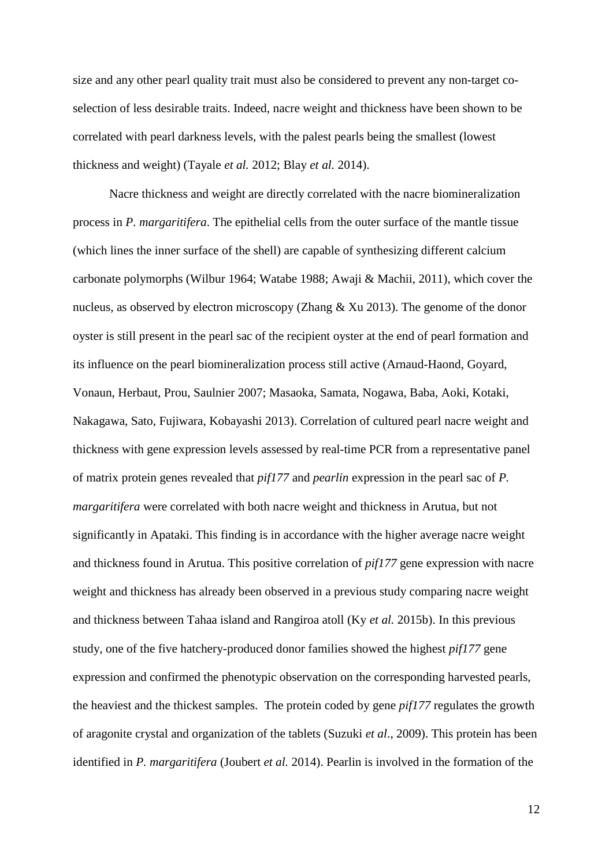size and any other pearl quality trait must also be considered to prevent any non-target coselection of less desirable traits. Indeed, nacre weight and thickness have been shown to be correlated with pearl darkness levels, with the palest pearls being the smallest (lowest thickness and weight) (Tayale *et al.* 2012; Blay *et al.* 2014).

Nacre thickness and weight are directly correlated with the nacre biomineralization process in *P. margaritifera*. The epithelial cells from the outer surface of the mantle tissue (which lines the inner surface of the shell) are capable of synthesizing different calcium carbonate polymorphs (Wilbur 1964; Watabe 1988; Awaji & Machii, 2011), which cover the nucleus, as observed by electron microscopy (Zhang & Xu 2013). The genome of the donor oyster is still present in the pearl sac of the recipient oyster at the end of pearl formation and its influence on the pearl biomineralization process still active (Arnaud-Haond, Goyard, Vonaun, Herbaut, Prou, Saulnier 2007; Masaoka, Samata, Nogawa, Baba, Aoki, Kotaki, Nakagawa, Sato, Fujiwara, Kobayashi 2013). Correlation of cultured pearl nacre weight and thickness with gene expression levels assessed by real-time PCR from a representative panel of matrix protein genes revealed that *pif177* and *pearlin* expression in the pearl sac of *P. margaritifera* were correlated with both nacre weight and thickness in Arutua, but not significantly in Apataki. This finding is in accordance with the higher average nacre weight and thickness found in Arutua. This positive correlation of *pif177* gene expression with nacre weight and thickness has already been observed in a previous study comparing nacre weight and thickness between Tahaa island and Rangiroa atoll (Ky *et al.* 2015b). In this previous study, one of the five hatchery-produced donor families showed the highest *pif177* gene expression and confirmed the phenotypic observation on the corresponding harvested pearls, the heaviest and the thickest samples. The protein coded by gene *pif177* regulates the growth of aragonite crystal and organization of the tablets (Suzuki *et al*., 2009). This protein has been identified in *P. margaritifera* (Joubert *et al.* 2014). Pearlin is involved in the formation of the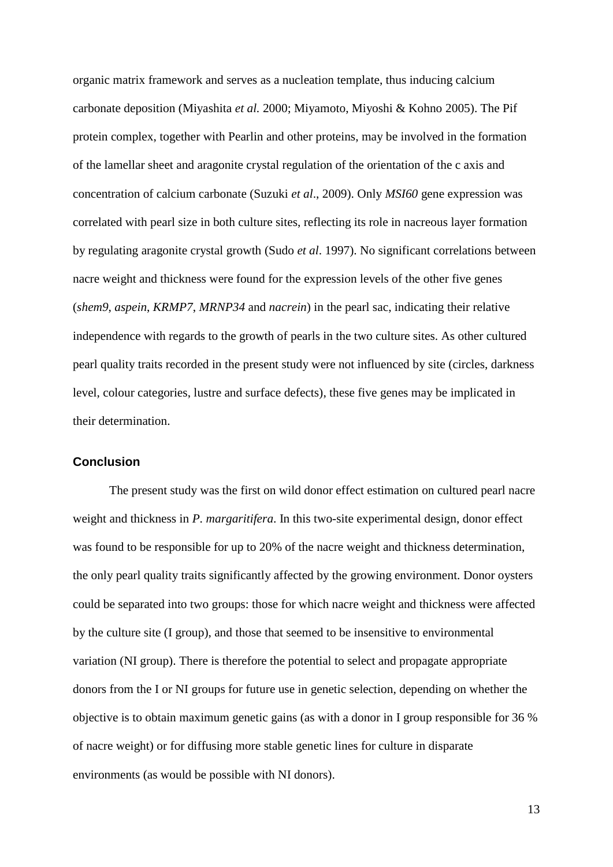organic matrix framework and serves as a nucleation template, thus inducing calcium carbonate deposition (Miyashita *et al.* 2000; Miyamoto, Miyoshi & Kohno 2005). The Pif protein complex, together with Pearlin and other proteins, may be involved in the formation of the lamellar sheet and aragonite crystal regulation of the orientation of the c axis and concentration of calcium carbonate (Suzuki *et al*., 2009). Only *MSI60* gene expression was correlated with pearl size in both culture sites, reflecting its role in nacreous layer formation by regulating aragonite crystal growth (Sudo *et al*. 1997). No significant correlations between nacre weight and thickness were found for the expression levels of the other five genes (*shem9*, *aspein*, *KRMP7*, *MRNP34* and *nacrein*) in the pearl sac, indicating their relative independence with regards to the growth of pearls in the two culture sites. As other cultured pearl quality traits recorded in the present study were not influenced by site (circles, darkness level, colour categories, lustre and surface defects), these five genes may be implicated in their determination.

### **Conclusion**

The present study was the first on wild donor effect estimation on cultured pearl nacre weight and thickness in *P. margaritifera*. In this two-site experimental design, donor effect was found to be responsible for up to 20% of the nacre weight and thickness determination, the only pearl quality traits significantly affected by the growing environment. Donor oysters could be separated into two groups: those for which nacre weight and thickness were affected by the culture site (I group), and those that seemed to be insensitive to environmental variation (NI group). There is therefore the potential to select and propagate appropriate donors from the I or NI groups for future use in genetic selection, depending on whether the objective is to obtain maximum genetic gains (as with a donor in I group responsible for 36 % of nacre weight) or for diffusing more stable genetic lines for culture in disparate environments (as would be possible with NI donors).

13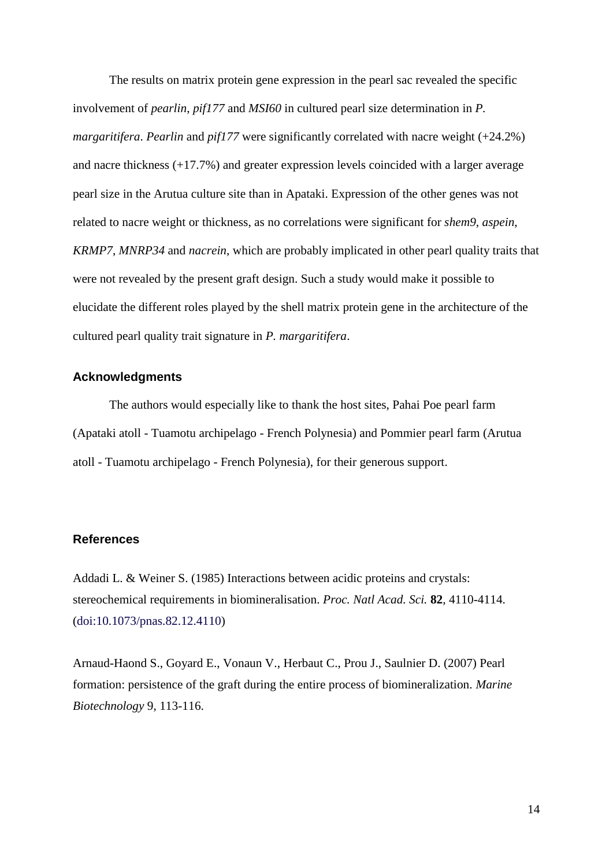The results on matrix protein gene expression in the pearl sac revealed the specific involvement of *pearlin*, *pif177* and *MSI60* in cultured pearl size determination in *P. margaritifera*. *Pearlin* and *pif177* were significantly correlated with nacre weight (+24.2%) and nacre thickness (+17.7%) and greater expression levels coincided with a larger average pearl size in the Arutua culture site than in Apataki. Expression of the other genes was not related to nacre weight or thickness, as no correlations were significant for *shem9*, *aspein*, *KRMP7*, *MNRP34* and *nacrein*, which are probably implicated in other pearl quality traits that were not revealed by the present graft design. Such a study would make it possible to elucidate the different roles played by the shell matrix protein gene in the architecture of the cultured pearl quality trait signature in *P. margaritifera*.

## **Acknowledgments**

The authors would especially like to thank the host sites, Pahai Poe pearl farm (Apataki atoll - Tuamotu archipelago - French Polynesia) and Pommier pearl farm (Arutua atoll - Tuamotu archipelago - French Polynesia), for their generous support.

## **References**

Addadi L. & Weiner S. (1985) Interactions between acidic proteins and crystals: stereochemical requirements in biomineralisation. *Proc. Natl Acad. Sci.* **82**, 4110-4114. (doi:10.1073/pnas.82.12.4110)

Arnaud-Haond S., Goyard E., Vonaun V., Herbaut C., Prou J., Saulnier D. (2007) Pearl formation: persistence of the graft during the entire process of biomineralization. *Marine Biotechnology* 9, 113-116.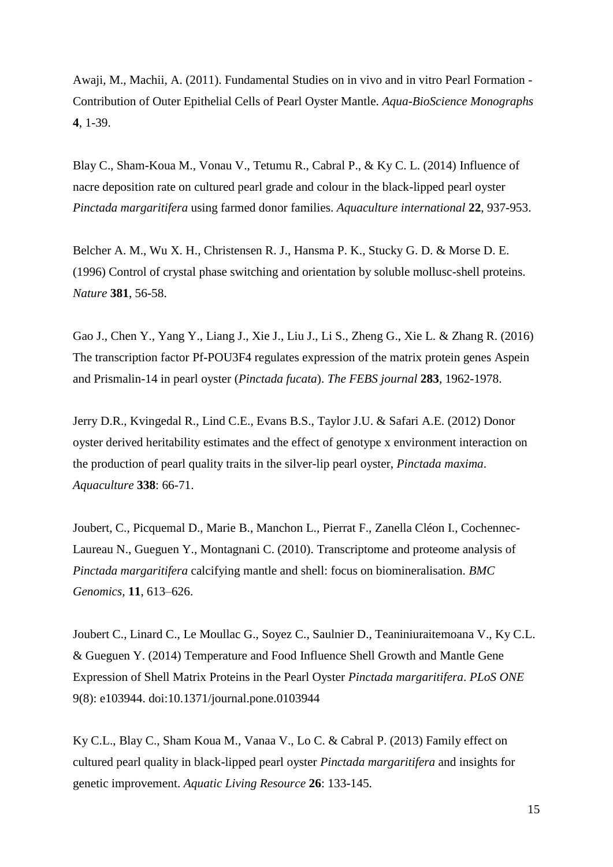Awaji, M., Machii, A. (2011). Fundamental Studies on in vivo and in vitro Pearl Formation - Contribution of Outer Epithelial Cells of Pearl Oyster Mantle. *Aqua-BioScience Monographs* **4**, 1-39.

Blay C., Sham-Koua M., Vonau V., Tetumu R., Cabral P., & Ky C. L. (2014) Influence of nacre deposition rate on cultured pearl grade and colour in the black-lipped pearl oyster *Pinctada margaritifera* using farmed donor families. *Aquaculture international* **22**, 937-953.

Belcher A. M., Wu X. H., Christensen R. J., Hansma P. K., Stucky G. D. & Morse D. E. (1996) Control of crystal phase switching and orientation by soluble mollusc-shell proteins. *Nature* **381**, 56-58.

Gao J., Chen Y., Yang Y., Liang J., Xie J., Liu J., Li S., Zheng G., Xie L. & Zhang R. (2016) The transcription factor Pf-POU3F4 regulates expression of the matrix protein genes Aspein and Prismalin-14 in pearl oyster (*Pinctada fucata*). *The FEBS journal* **283**, 1962-1978.

Jerry D.R., Kvingedal R., Lind C.E., Evans B.S., Taylor J.U. & Safari A.E. (2012) Donor oyster derived heritability estimates and the effect of genotype x environment interaction on the production of pearl quality traits in the silver-lip pearl oyster, *Pinctada maxima*. *Aquaculture* **338**: 66-71.

Joubert, C., Picquemal D., Marie B., Manchon L., Pierrat F., Zanella Cléon I., Cochennec-Laureau N., Gueguen Y., Montagnani C. (2010). Transcriptome and proteome analysis of *Pinctada margaritifera* calcifying mantle and shell: focus on biomineralisation. *BMC Genomics,* **11**, 613–626.

Joubert C., Linard C., Le Moullac G., Soyez C., Saulnier D., Teaniniuraitemoana V., Ky C.L. & Gueguen Y. (2014) Temperature and Food Influence Shell Growth and Mantle Gene Expression of Shell Matrix Proteins in the Pearl Oyster *Pinctada margaritifera*. *PLoS ONE* 9(8): e103944. doi:10.1371/journal.pone.0103944

Ky C.L., Blay C., Sham Koua M., Vanaa V., Lo C. & Cabral P. (2013) Family effect on cultured pearl quality in black-lipped pearl oyster *Pinctada margaritifera* and insights for genetic improvement. *Aquatic Living Resource* **26**: 133-145.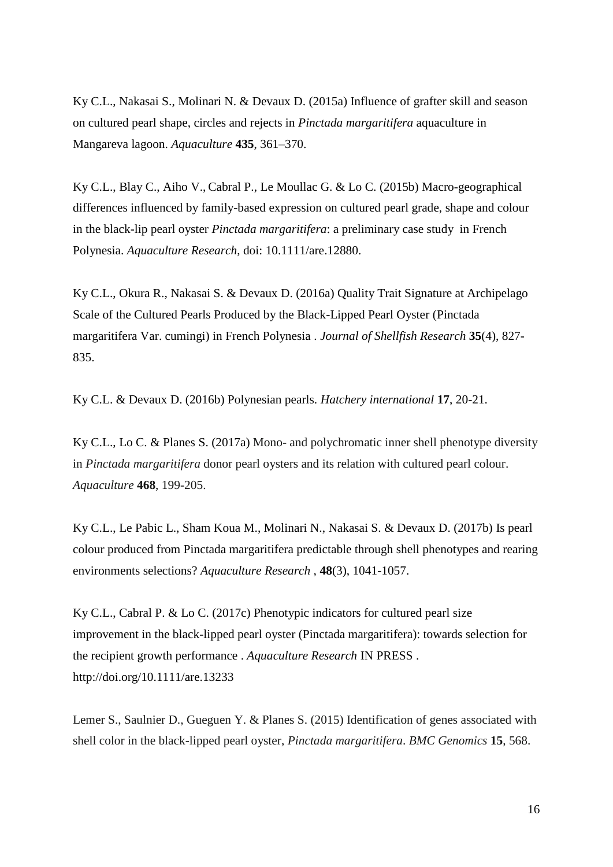Ky C.L., Nakasai S., Molinari N. & Devaux D. (2015a) Influence of grafter skill and season on cultured pearl shape, circles and rejects in *Pinctada margaritifera* aquaculture in Mangareva lagoon. *Aquaculture* **435**, 361–370.

Ky C.L., Blay C., Aiho V., Cabral P., Le Moullac G. & Lo C. (2015b) Macro-geographical differences influenced by family-based expression on cultured pearl grade, shape and colour in the black-lip pearl oyster *Pinctada margaritifera*: a preliminary case study in French Polynesia. *Aquaculture Research*, doi: 10.1111/are.12880.

Ky C.L., Okura R., Nakasai S. & Devaux D. (2016a) Quality Trait Signature at Archipelago Scale of the Cultured Pearls Produced by the Black-Lipped Pearl Oyster (Pinctada margaritifera Var. cumingi) in French Polynesia . *Journal of Shellfish Research* **35**(4), 827- 835.

Ky C.L. & Devaux D. (2016b) Polynesian pearls. *Hatchery international* **17**, 20-21.

Ky C.L., Lo C. & Planes S. (2017a) Mono- and polychromatic inner shell phenotype diversity in *Pinctada margaritifera* donor pearl oysters and its relation with cultured pearl colour. *Aquaculture* **468**, 199-205.

Ky C.L., Le Pabic L., Sham Koua M., Molinari N., Nakasai S. & Devaux D. (2017b) Is pearl colour produced from Pinctada margaritifera predictable through shell phenotypes and rearing environments selections? *Aquaculture Research* , **48**(3), 1041-1057.

Ky C.L., Cabral P. & Lo C. (2017c) Phenotypic indicators for cultured pearl size improvement in the black-lipped pearl oyster (Pinctada margaritifera): towards selection for the recipient growth performance . *Aquaculture Research* IN PRESS . http://doi.org/10.1111/are.13233

Lemer S., Saulnier D., Gueguen Y. & Planes S. (2015) Identification of genes associated with shell color in the black-lipped pearl oyster, *Pinctada margaritifera*. *BMC Genomics* **15**, 568.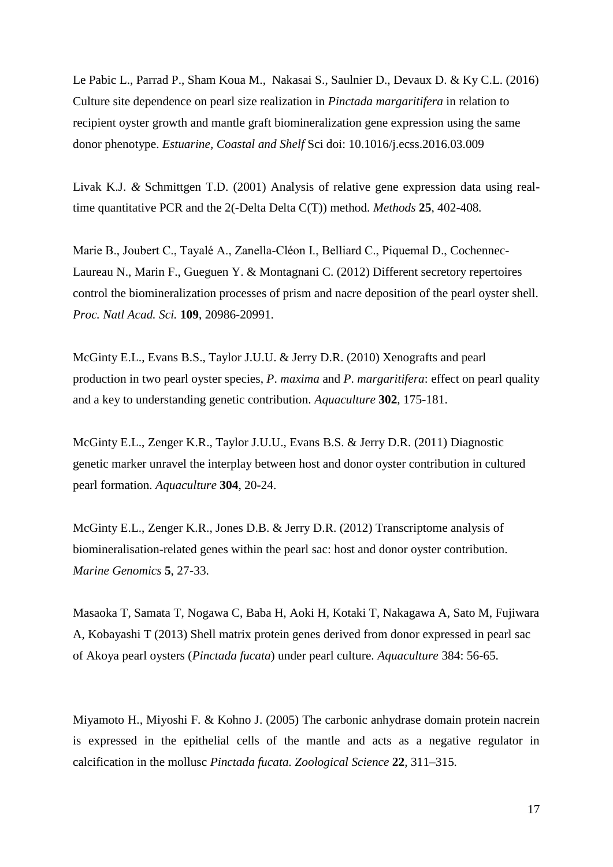Le Pabic L., Parrad P., Sham Koua M., Nakasai S., Saulnier D., Devaux D. & Ky C.L. (2016) Culture site dependence on pearl size realization in *Pinctada margaritifera* in relation to recipient oyster growth and mantle graft biomineralization gene expression using the same donor phenotype. *Estuarine, Coastal and Shelf* Sci doi: 10.1016/j.ecss.2016.03.009

Livak K.J. *&* Schmittgen T.D. (2001) Analysis of relative gene expression data using realtime quantitative PCR and the 2(-Delta Delta C(T)) method*. Methods* **25***,* 402*-*408*.*

Marie B., Joubert C., Tayalé A., Zanella-Cléon I., Belliard C., Piquemal D., Cochennec-Laureau N., Marin F., Gueguen Y. & Montagnani C. (2012) Different secretory repertoires control the biomineralization processes of prism and nacre deposition of the pearl oyster shell. *Proc. Natl Acad. Sci.* **109**, 20986-20991.

McGinty E.L., Evans B.S., Taylor J.U.U. & Jerry D.R. (2010) Xenografts and pearl production in two pearl oyster species, *P*. *maxima* and *P*. *margaritifera*: effect on pearl quality and a key to understanding genetic contribution. *Aquaculture* **302**, 175-181.

McGinty E.L., Zenger K.R., Taylor J.U.U., Evans B.S. & Jerry D.R. (2011) Diagnostic genetic marker unravel the interplay between host and donor oyster contribution in cultured pearl formation. *Aquaculture* **304**, 20-24.

McGinty E.L., Zenger K.R., Jones D.B. & Jerry D.R. (2012) Transcriptome analysis of biomineralisation-related genes within the pearl sac: host and donor oyster contribution. *Marine Genomics* **5**, 27-33.

Masaoka T, Samata T, Nogawa C, Baba H, Aoki H, Kotaki T, Nakagawa A, Sato M, Fujiwara A, Kobayashi T (2013) Shell matrix protein genes derived from donor expressed in pearl sac of Akoya pearl oysters (*Pinctada fucata*) under pearl culture. *Aquaculture* 384: 56-65.

Miyamoto H.*,* Miyoshi F*.* & Kohno J. (2005) The carbonic anhydrase domain protein nacrein is expressed in the epithelial cells of the mantle and acts as a negative regulator in calcification in the mollusc *Pinctada fucata. Zoological Science* **22***,* 311*–*315*.*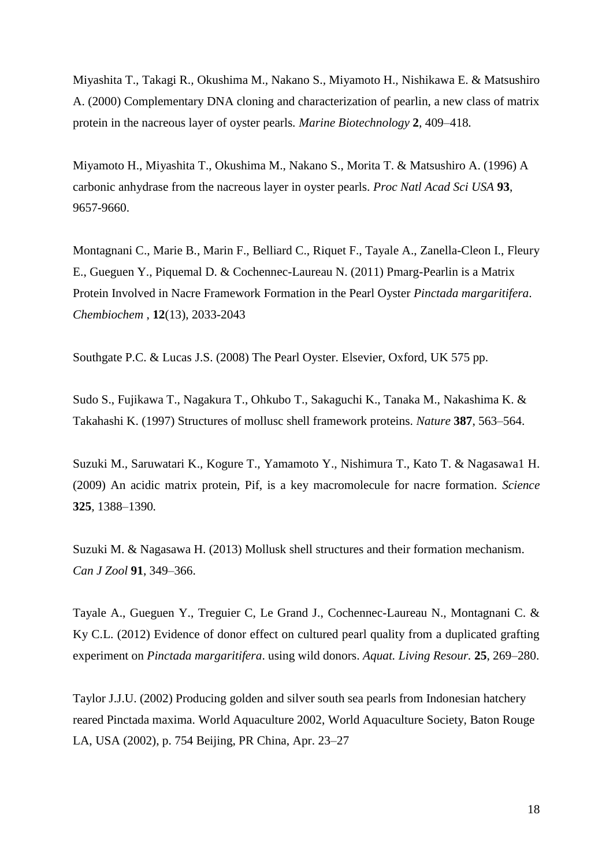Miyashita T.*,* Takagi R.*,* Okushima M.*,* Nakano S.*,* Miyamoto H.*,* Nishikawa E. & Matsushiro A. (2000) Complementary DNA cloning and characterization of pearlin, a new class of matrix protein in the nacreous layer of oyster pearls*. Marine Biotechnology* **2***,* 409*–*418*.*

Miyamoto H., Miyashita T., Okushima M., Nakano S., Morita T. & Matsushiro A. (1996) A carbonic anhydrase from the nacreous layer in oyster pearls. *Proc Natl Acad Sci USA* **93**, 9657-9660.

Montagnani C., Marie B., Marin F., [Belliard C.,](http://annuaire.ifremer.fr/cv/16850/) Riquet F., Tayale A., Zanella-Cleon I., [Fleury](http://annuaire.ifremer.fr/cv/17539/)  [E.,](http://annuaire.ifremer.fr/cv/17539/) [Gueguen Y.,](http://annuaire.ifremer.fr/cv/16833/) Piquemal D. & [Cochennec-Laureau N.](http://annuaire.ifremer.fr/cv/15904/) (2011) Pmarg-Pearlin is a Matrix Protein Involved in Nacre Framework Formation in the Pearl Oyster *Pinctada margaritifera*. *Chembiochem* , **12**(13), 2033-2043

Southgate P.C. & Lucas J.S. (2008) The Pearl Oyster. Elsevier, Oxford, UK 575 pp.

Sudo S., Fujikawa T., Nagakura T., Ohkubo T., Sakaguchi K., Tanaka M., Nakashima K. & Takahashi K. (1997) Structures of mollusc shell framework proteins. *Nature* **387**, 563–564.

Suzuki M.*,* Saruwatari K.*,* Kogure T.*,* Yamamoto Y.*,* Nishimura T.*,* Kato T. & Nagasawa1 H. (2009) An acidic matrix protein, Pif, is a key macromolecule for nacre formation*. Science* **325***,* 1388*–*1390*.*

Suzuki M. & Nagasawa H. (2013) Mollusk shell structures and their formation mechanism. *Can J Zool* **91**, 349–366.

Tayale A., Gueguen Y., Treguier C, Le Grand J., Cochennec-Laureau N., Montagnani C. & Ky C.L. (2012) Evidence of donor effect on cultured pearl quality from a duplicated grafting experiment on *Pinctada margaritifera*. using wild donors. *Aquat. Living Resour.* **25**, 269–280.

Taylor J.J.U. (2002) Producing golden and silver south sea pearls from Indonesian hatchery reared Pinctada maxima. World Aquaculture 2002, World Aquaculture Society, Baton Rouge LA, USA (2002), p. 754 Beijing, PR China, Apr. 23–27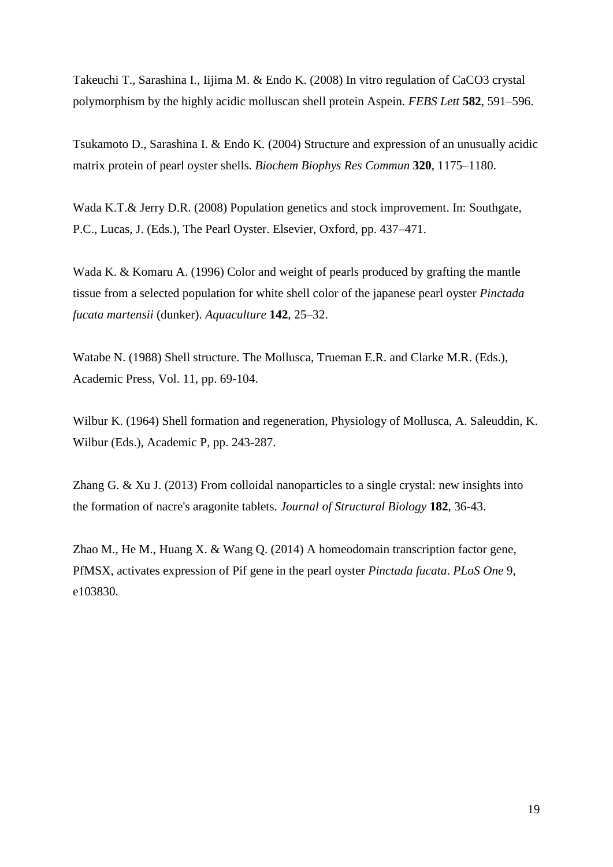Takeuchi T., Sarashina I., Iijima M. & Endo K. (2008) In vitro regulation of CaCO3 crystal polymorphism by the highly acidic molluscan shell protein Aspein. *FEBS Lett* **582**, 591–596.

Tsukamoto D., Sarashina I. & Endo K. (2004) Structure and expression of an unusually acidic matrix protein of pearl oyster shells. *Biochem Biophys Res Commun* **320**, 1175–1180.

Wada K.T.& Jerry D.R. (2008) Population genetics and stock improvement. In: Southgate, P.C., Lucas, J. (Eds.), The Pearl Oyster. Elsevier, Oxford, pp. 437–471.

Wada K. & Komaru A. (1996) Color and weight of pearls produced by grafting the mantle tissue from a selected population for white shell color of the japanese pearl oyster *Pinctada fucata martensii* (dunker). *Aquaculture* **142**, 25–32.

Watabe N. (1988) Shell structure. The Mollusca, Trueman E.R. and Clarke M.R. (Eds.), Academic Press, Vol. 11, pp. 69-104.

Wilbur K. (1964) Shell formation and regeneration, Physiology of Mollusca, A. Saleuddin, K. Wilbur (Eds.), Academic P, pp. 243-287.

Zhang G. & Xu J. (2013) From colloidal nanoparticles to a single crystal: new insights into the formation of nacre's aragonite tablets. *Journal of Structural Biology* **182**, 36-43.

Zhao M., He M., Huang X. & Wang Q. (2014) A homeodomain transcription factor gene, PfMSX, activates expression of Pif gene in the pearl oyster *Pinctada fucata*. *PLoS One* 9, e103830.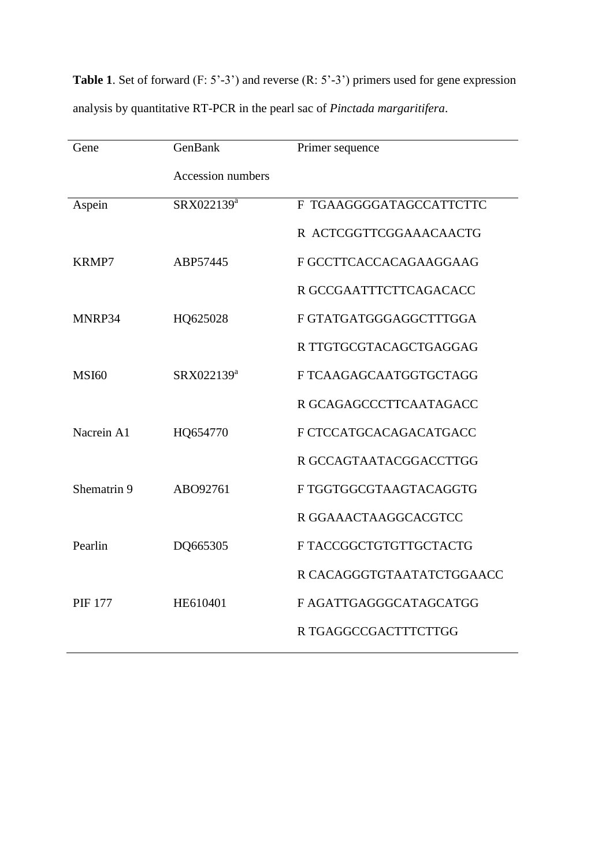| Gene           | GenBank                | Primer sequence           |  |  |  |
|----------------|------------------------|---------------------------|--|--|--|
|                | Accession numbers      |                           |  |  |  |
| Aspein         | SRX022139 <sup>a</sup> | F TGAAGGGGATAGCCATTCTTC   |  |  |  |
|                |                        | R ACTCGGTTCGGAAACAACTG    |  |  |  |
| KRMP7          | ABP57445               | F GCCTTCACCACAGAAGGAAG    |  |  |  |
|                |                        | R GCCGAATTTCTTCAGACACC    |  |  |  |
| MNRP34         | HQ625028               | F GTATGATGGGAGGCTTTGGA    |  |  |  |
|                |                        | R TTGTGCGTACAGCTGAGGAG    |  |  |  |
| <b>MSI60</b>   | SRX022139 <sup>a</sup> | F TCAAGAGCAATGGTGCTAGG    |  |  |  |
|                |                        | R GCAGAGCCCTTCAATAGACC    |  |  |  |
| Nacrein A1     | HQ654770               | F CTCCATGCACAGACATGACC    |  |  |  |
|                |                        | R GCCAGTAATACGGACCTTGG    |  |  |  |
| Shematrin 9    | ABO92761               | F TGGTGGCGTAAGTACAGGTG    |  |  |  |
|                |                        | R GGAAACTAAGGCACGTCC      |  |  |  |
| Pearlin        | DQ665305               | F TACCGGCTGTGTTGCTACTG    |  |  |  |
|                |                        | R CACAGGGTGTAATATCTGGAACC |  |  |  |
| <b>PIF 177</b> | HE610401               | F AGATTGAGGGCATAGCATGG    |  |  |  |
|                |                        | R TGAGGCCGACTTTCTTGG      |  |  |  |

**Table 1**. Set of forward (F: 5'-3') and reverse (R: 5'-3') primers used for gene expression analysis by quantitative RT-PCR in the pearl sac of *Pinctada margaritifera*.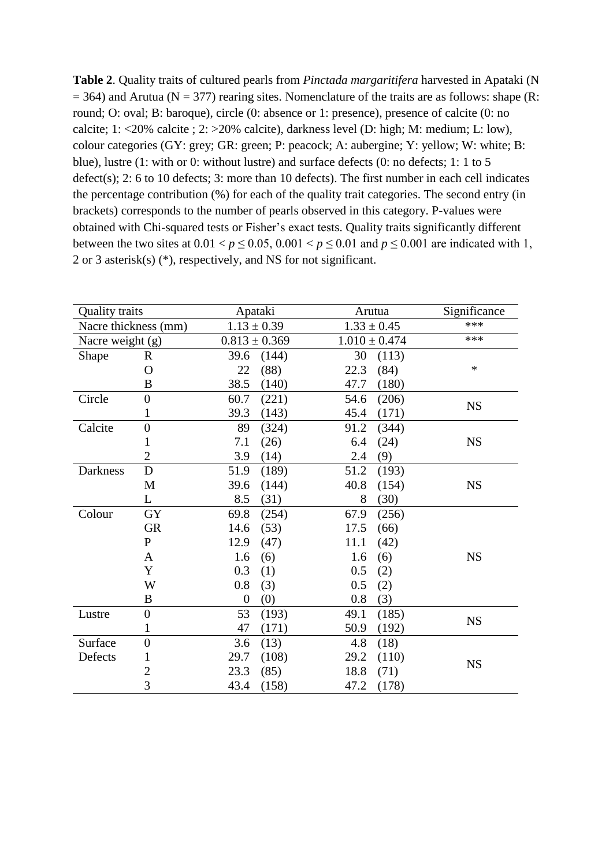| Table 2. Quality traits of cultured pearls from Pinctada margaritifera harvested in Apataki (N              |
|-------------------------------------------------------------------------------------------------------------|
| $=$ 364) and Arutua (N = 377) rearing sites. Nomenclature of the traits are as follows: shape (R:           |
| round; O: oval; B: baroque), circle (0: absence or 1: presence), presence of calcite (0: no                 |
| calcite; 1: <20% calcite; 2: >20% calcite), darkness level (D: high; M: medium; L: low),                    |
| colour categories (GY: grey; GR: green; P: peacock; A: aubergine; Y: yellow; W: white; B:                   |
| blue), lustre (1: with or 0: without lustre) and surface defects (0: no defects; 1: 1 to 5                  |
| $defect(s)$ ; 2: 6 to 10 defects; 3: more than 10 defects). The first number in each cell indicates         |
| the percentage contribution $(\%)$ for each of the quality trait categories. The second entry (in           |
| brackets) corresponds to the number of pearls observed in this category. P-values were                      |
| obtained with Chi-squared tests or Fisher's exact tests. Quality traits significantly different             |
| between the two sites at $0.01 < p \le 0.05$ , $0.001 < p \le 0.01$ and $p \le 0.001$ are indicated with 1, |
| 2 or 3 asterisk(s) $(*)$ , respectively, and NS for not significant.                                        |

| <b>Quality traits</b> |                  |                   | Apataki         |      | Arutua            | Significance |
|-----------------------|------------------|-------------------|-----------------|------|-------------------|--------------|
| Nacre thickness (mm)  |                  |                   | $1.13 \pm 0.39$ |      | $1.33 \pm 0.45$   | ***          |
| Nacre weight (g)      |                  | $0.813 \pm 0.369$ |                 |      | $1.010 \pm 0.474$ | ***          |
| Shape                 | $\mathbf R$      | 39.6              | (144)           | 30   | (113)             |              |
|                       | $\Omega$         | 22                | (88)            | 22.3 | (84)              | $\ast$       |
|                       | B                | 38.5              | (140)           | 47.7 | (180)             |              |
| Circle                | $\overline{0}$   | 60.7              | (221)           | 54.6 | (206)             | <b>NS</b>    |
|                       | 1                | 39.3              | (143)           | 45.4 | (171)             |              |
| Calcite               | $\overline{0}$   | 89                | (324)           | 91.2 | (344)             |              |
|                       | $\mathbf{1}$     | 7.1               | (26)            | 6.4  | (24)              | <b>NS</b>    |
|                       | $\overline{2}$   | 3.9               | (14)            | 2.4  | (9)               |              |
| Darkness              | $\mathbf D$      | 51.9              | (189)           | 51.2 | (193)             |              |
|                       | M                | 39.6              | (144)           | 40.8 | (154)             | <b>NS</b>    |
|                       | L                | 8.5               | (31)            | 8    | (30)              |              |
| Colour                | <b>GY</b>        | 69.8              | (254)           | 67.9 | (256)             |              |
|                       | <b>GR</b>        | 14.6              | (53)            | 17.5 | (66)              |              |
|                       | $\mathbf{P}$     | 12.9              | (47)            | 11.1 | (42)              |              |
|                       | $\mathbf{A}$     | 1.6               | (6)             | 1.6  | (6)               | <b>NS</b>    |
|                       | Y                | 0.3               | (1)             | 0.5  | (2)               |              |
|                       | W                | 0.8               | (3)             | 0.5  | (2)               |              |
|                       | B                | $\overline{0}$    | (0)             | 0.8  | (3)               |              |
| Lustre                | $\boldsymbol{0}$ | 53                | (193)           | 49.1 | (185)             | <b>NS</b>    |
|                       | 1                | 47                | (171)           | 50.9 | (192)             |              |
| Surface               | $\overline{0}$   | 3.6               | (13)            | 4.8  | (18)              |              |
| Defects               | 1                | 29.7              | (108)           | 29.2 | (110)             |              |
|                       | $\overline{2}$   | 23.3              | (85)            | 18.8 | (71)              | <b>NS</b>    |
|                       | 3                | 43.4              | (158)           | 47.2 | (178)             |              |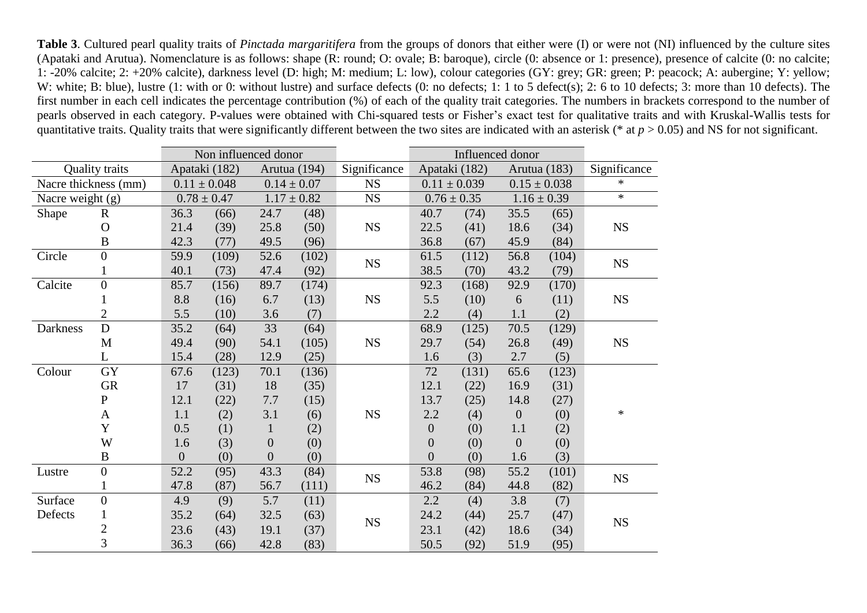**Table 3**. Cultured pearl quality traits of *Pinctada margaritifera* from the groups of donors that either were (I) or were not (NI) influenced by the culture sites (Apataki and Arutua). Nomenclature is as follows: shape (R: round; O: ovale; B: baroque), circle (0: absence or 1: presence), presence of calcite (0: no calcite; 1: -20% calcite; 2: +20% calcite), darkness level (D: high; M: medium; L: low), colour categories (GY: grey; GR: green; P: peacock; A: aubergine; Y: yellow; W: white; B: blue), lustre (1: with or 0: without lustre) and surface defects (0: no defects; 1: 1 to 5 defect(s); 2: 6 to 10 defects; 3: more than 10 defects). The first number in each cell indicates the percentage contribution (%) of each of the quality trait categories. The numbers in brackets correspond to the number of pearls observed in each category. P-values were obtained with Chi-squared tests or Fisher's exact test for qualitative traits and with Kruskal-Wallis tests for quantitative traits. Quality traits that were significantly different between the two sites are indicated with an asterisk (\* at *p* > 0.05) and NS for not significant.

|                  |                       | Non influenced donor |                  |                  |       | Influenced donor |                  |       |                  |              |              |
|------------------|-----------------------|----------------------|------------------|------------------|-------|------------------|------------------|-------|------------------|--------------|--------------|
|                  | <b>Quality traits</b> |                      | Apataki (182)    | Arutua (194)     |       | Significance     | Apataki (182)    |       |                  | Arutua (183) | Significance |
|                  | Nacre thickness (mm)  |                      | $0.11 \pm 0.048$ | $0.14 \pm 0.07$  |       | NS               | $0.11 \pm 0.039$ |       | $0.15 \pm 0.038$ |              | $\ast$       |
| Nacre weight (g) |                       | $0.78 \pm 0.47$      |                  | $1.17 \pm 0.82$  |       | NS               | $0.76 \pm 0.35$  |       | $1.16 \pm 0.39$  |              | $\ast$       |
| Shape            | $\mathbf R$           | 36.3                 | (66)             | 24.7             | (48)  |                  | 40.7             | (74)  | 35.5             | (65)         |              |
|                  | $\overline{O}$        | 21.4                 | (39)             | 25.8             | (50)  | <b>NS</b>        | 22.5             | (41)  | 18.6             | (34)         | ${\rm NS}$   |
|                  | $\overline{B}$        | 42.3                 | (77)             | 49.5             | (96)  |                  | 36.8             | (67)  | 45.9             | (84)         |              |
| Circle           | $\overline{0}$        | 59.9                 | (109)            | 52.6             | (102) | <b>NS</b>        | 61.5             | (112) | 56.8             | (104)        | NS           |
|                  | $\mathbf{1}$          | 40.1                 | (73)             | 47.4             | (92)  |                  | 38.5             | (70)  | 43.2             | (79)         |              |
| Calcite          | $\boldsymbol{0}$      | 85.7                 | (156)            | 89.7             | (174) |                  | 92.3             | (168) | 92.9             | (170)        |              |
|                  |                       | 8.8                  | (16)             | 6.7              | (13)  | <b>NS</b>        | 5.5              | (10)  | 6                | (11)         | NS           |
|                  | $\overline{2}$        | 5.5                  | (10)             | 3.6              | (7)   |                  | 2.2              | (4)   | 1.1              | (2)          |              |
| <b>Darkness</b>  | $\mathbf D$           | 35.2                 | (64)             | 33               | (64)  |                  | 68.9             | (125) | 70.5             | (129)        |              |
|                  | M                     | 49.4                 | (90)             | 54.1             | (105) | <b>NS</b>        | 29.7             | (54)  | 26.8             | (49)         | ${\rm NS}$   |
|                  | L                     | 15.4                 | (28)             | 12.9             | (25)  |                  | 1.6              | (3)   | 2.7              | (5)          |              |
| Colour           | GY                    | 67.6                 | (123)            | 70.1             | (136) |                  | 72               | (131) | 65.6             | (123)        |              |
|                  | <b>GR</b>             | 17                   | (31)             | 18               | (35)  |                  | 12.1             | (22)  | 16.9             | (31)         |              |
|                  | $\mathbf P$           | 12.1                 | (22)             | 7.7              | (15)  |                  | 13.7             | (25)  | 14.8             | (27)         |              |
|                  | $\mathbf{A}$          | 1.1                  | (2)              | 3.1              | (6)   | <b>NS</b>        | 2.2              | (4)   | $\boldsymbol{0}$ | (0)          | $\ast$       |
|                  | Y                     | 0.5                  | (1)              | $\mathbf{1}$     | (2)   |                  | $\boldsymbol{0}$ | (0)   | 1.1              | (2)          |              |
|                  | W                     | 1.6                  | (3)              | $\boldsymbol{0}$ | (0)   |                  | $\overline{0}$   | (0)   | $\overline{0}$   | (0)          |              |
|                  | B                     | $\overline{0}$       | (0)              | $\boldsymbol{0}$ | (0)   |                  | $\overline{0}$   | (0)   | 1.6              | (3)          |              |
| Lustre           | $\boldsymbol{0}$      | 52.2                 | (95)             | 43.3             | (84)  | <b>NS</b>        | 53.8             | (98)  | 55.2             | (101)        | <b>NS</b>    |
|                  | $\mathbf{1}$          | 47.8                 | (87)             | 56.7             | (111) |                  | 46.2             | (84)  | 44.8             | (82)         |              |
| Surface          | $\boldsymbol{0}$      | 4.9                  | (9)              | 5.7              | (11)  |                  | 2.2              | (4)   | 3.8              | (7)          |              |
| Defects          | $\mathbf{1}$          | 35.2                 | (64)             | 32.5             | (63)  | <b>NS</b>        | 24.2             | (44)  | 25.7             | (47)         | <b>NS</b>    |
|                  | $\overline{c}$        | 23.6                 | (43)             | 19.1             | (37)  |                  | 23.1             | (42)  | 18.6             | (34)         |              |
|                  | 3                     | 36.3                 | (66)             | 42.8             | (83)  |                  | 50.5             | (92)  | 51.9             | (95)         |              |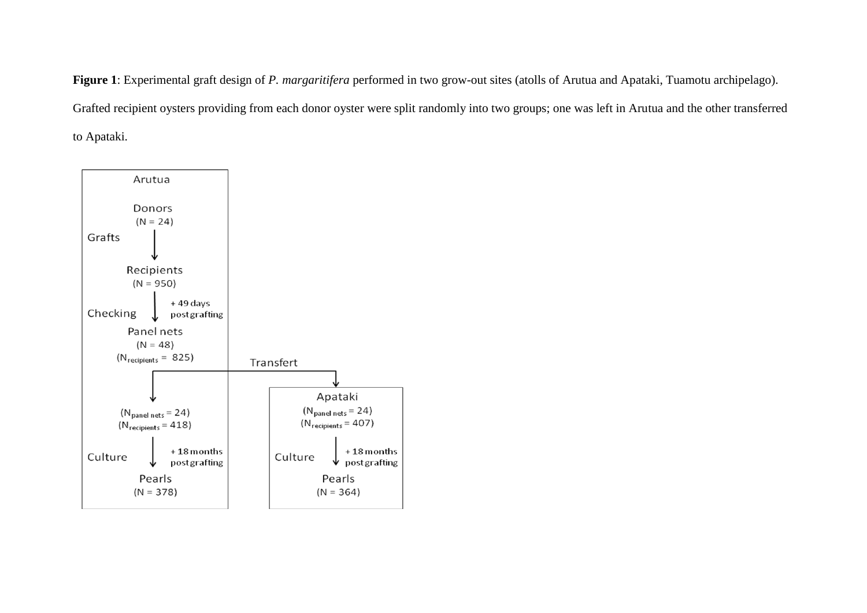**Figure 1**: Experimental graft design of *P. margaritifera* performed in two grow-out sites (atolls of Arutua and Apataki, Tuamotu archipelago). Grafted recipient oysters providing from each donor oyster were split randomly into two groups; one was left in Arutua and the other transferred to Apataki.